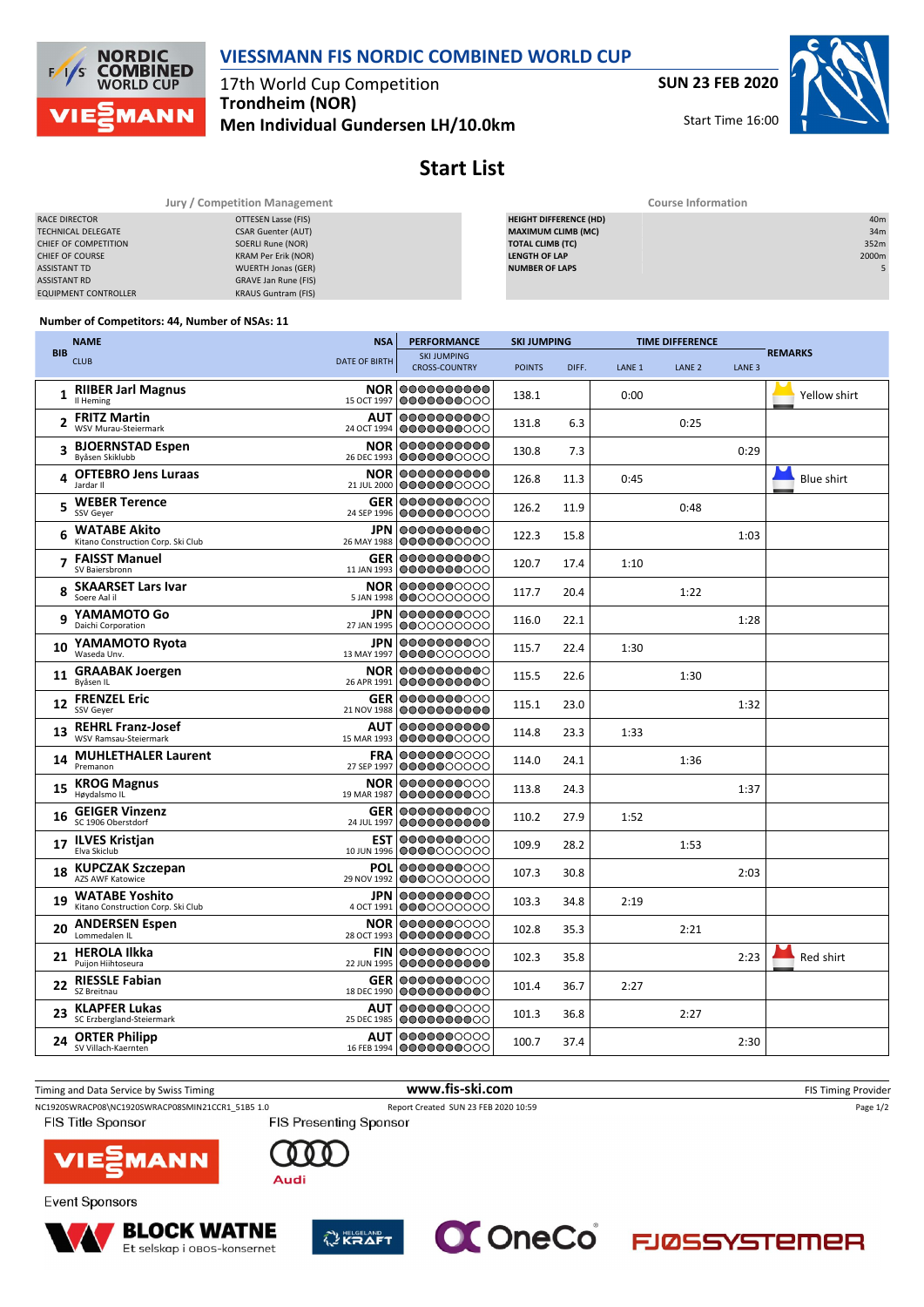**VIESSMANN FIS NORDIC COMBINED WORLD CUP**

17th World Cup Competition **Trondheim (NOR)**

**Men Individual Gundersen LH/10.0km**

**SUN 23 FEB 2020**

Start Time 16:00



## **Start List**

| Jury / Competition Management |                            | <b>Course Information</b>     |                 |  |  |  |
|-------------------------------|----------------------------|-------------------------------|-----------------|--|--|--|
| RACE DIRECTOR                 | OTTESEN Lasse (FIS)        | <b>HEIGHT DIFFERENCE (HD)</b> | 40 <sub>m</sub> |  |  |  |
| <b>TECHNICAL DELEGATE</b>     | <b>CSAR Guenter (AUT)</b>  | <b>MAXIMUM CLIMB (MC)</b>     | 34m             |  |  |  |
| CHIEF OF COMPETITION          | SOERLI Rune (NOR)          | <b>TOTAL CLIMB (TC)</b>       | 352m            |  |  |  |
| CHIEF OF COURSE               | KRAM Per Erik (NOR)        | <b>LENGTH OF LAP</b>          | 2000m           |  |  |  |
| <b>ASSISTANT TD</b>           | <b>WUERTH Jonas (GER)</b>  | <b>NUMBER OF LAPS</b>         |                 |  |  |  |
| <b>ASSISTANT RD</b>           | GRAVE Jan Rune (FIS)       |                               |                 |  |  |  |
| <b>EQUIPMENT CONTROLLER</b>   | <b>KRAUS Guntram (FIS)</b> |                               |                 |  |  |  |

## **Number of Competitors: 44, Number of NSAs: 11**

**NORDIC COMBINED**<br>WORLD CUP

**MANN** 

 $F$ 

|            | <b>NAME</b>                                                 | <b>NSA</b>                | <b>PERFORMANCE</b>                                | <b>SKI JUMPING</b> |       | <b>TIME DIFFERENCE</b> |                   |                   |                   |  |
|------------|-------------------------------------------------------------|---------------------------|---------------------------------------------------|--------------------|-------|------------------------|-------------------|-------------------|-------------------|--|
| <b>BIB</b> | <b>CLUB</b>                                                 | <b>DATE OF BIRTH</b>      | <b>SKI JUMPING</b><br><b>CROSS-COUNTRY</b>        | <b>POINTS</b>      | DIFF. | LANE <sub>1</sub>      | LANE <sub>2</sub> | LANE <sub>3</sub> | <b>REMARKS</b>    |  |
| 1          | <b>RIIBER Jarl Magnus</b><br>Il Heming                      | 15 OCT 1997               | <b>NOR 0000000000</b><br>0000000000               | 138.1              |       | 0:00                   |                   |                   | Yellow shirt      |  |
| 2          | <b>FRITZ Martin</b><br>WSV Murau-Steiermark                 | 24 OCT 1994               | <b>AUT 0000000000</b><br>0000000000               | 131.8              | 6.3   |                        | 0:25              |                   |                   |  |
| 3          | <b>BJOERNSTAD Espen</b><br>Byåsen Skiklubb                  |                           | <b>NOR 0000000000</b><br>26 DEC 1993 0000000000   | 130.8              | 7.3   |                        |                   | 0:29              |                   |  |
|            | 4 OFTEBRO Jens Luraas<br>Jardar II                          | 21 JUL 2000               | NOR 0000000000<br>0000000000                      | 126.8              | 11.3  | 0:45                   |                   |                   | <b>Blue shirt</b> |  |
| 5          | <b>WEBER Terence</b><br>SSV Geyer                           | 24 SEP 1996               | <b>GER 0000000000</b><br>0000000000               | 126.2              | 11.9  |                        | 0:48              |                   |                   |  |
| 6          | <b>WATABE Akito</b><br>Kitano Construction Corp. Ski Club   |                           | <b>JPN</b> 0000000000<br>26 MAY 1988 0000000000   | 122.3              | 15.8  |                        |                   | 1:03              |                   |  |
|            | <b>FAISST Manuel</b><br>SV Baiersbronn                      |                           | <b>GER 0000000000</b><br>11 JAN 1993   0000000000 | 120.7              | 17.4  | 1:10                   |                   |                   |                   |  |
| 8          | <b>SKAARSET Lars Ivar</b><br>Soere Aal il                   |                           | <b>NOR 0000000000</b><br>5 JAN 1998 0000000000    | 117.7              | 20.4  |                        | 1:22              |                   |                   |  |
|            | YAMAMOTO Go<br>Daichi Corporation                           | <b>JPN</b><br>27 JAN 1995 | 0000000000<br>0000000000                          | 116.0              | 22.1  |                        |                   | 1:28              |                   |  |
| 10         | YAMAMOTO Ryota<br>Waseda Unv.                               | 13 MAY 1997               | <b>JPN 0000000000</b><br>10000000000              | 115.7              | 22.4  | 1:30                   |                   |                   |                   |  |
| 11         | <b>GRAABAK Joergen</b><br>Byåsen IL                         | <b>NOR</b><br>26 APR 1991 | 0000000000<br> 0000000000                         | 115.5              | 22.6  |                        | 1:30              |                   |                   |  |
| 12         | <b>FRENZEL Eric</b><br>SSV Geyer                            |                           | <b>GER 0000000000</b><br>21 NOV 1988 0000000000   | 115.1              | 23.0  |                        |                   | 1:32              |                   |  |
| 13         | <b>REHRL Franz-Josef</b><br>WSV Ramsau-Steiermark           | <b>AUT</b><br>15 MAR 1993 | 0000000000<br>0000000000                          | 114.8              | 23.3  | 1:33                   |                   |                   |                   |  |
| 14         | <b>MUHLETHALER Laurent</b><br>Premanon                      | <b>FRA</b><br>27 SEP 1997 | 0000000000<br>0000000000                          | 114.0              | 24.1  |                        | 1:36              |                   |                   |  |
| 15         | <b>KROG Magnus</b><br>Høydalsmo IL                          | 19 MAR 1987               | <b>NOR 0000000000</b><br>0000000000               | 113.8              | 24.3  |                        |                   | 1:37              |                   |  |
| 16         | <b>GEIGER Vinzenz</b><br>SC 1906 Oberstdorf                 | 24 JUL 1997               | <b>GER 0000000000</b><br>0000000000               | 110.2              | 27.9  | 1:52                   |                   |                   |                   |  |
| 17         | <b>ILVES Kristjan</b><br>Elva Skiclub                       | 10 JUN 1996               | <b>EST 0000000000</b><br> 0000000000              | 109.9              | 28.2  |                        | 1:53              |                   |                   |  |
| 18         | <b>KUPCZAK Szczepan</b><br>AZS AWF Katowice                 | 29 NOV 1992               | POL 0000000000<br>0000000000                      | 107.3              | 30.8  |                        |                   | 2:03              |                   |  |
| 19         | <b>WATABE Yoshito</b><br>Kitano Construction Corp. Ski Club |                           | <b>JPN 0000000000</b><br>4 OCT 1991 0000000000    | 103.3              | 34.8  | 2:19                   |                   |                   |                   |  |
| 20         | <b>ANDERSEN Espen</b><br>Lommedalen IL                      | 28 OCT 1993               | <b>NOR 0000000000</b><br>0000000000               | 102.8              | 35.3  |                        | 2:21              |                   |                   |  |
| 21         | <b>HEROLA Ilkka</b><br>Puijon Hiihtoseura                   | <b>FIN</b><br>22 JUN 1995 | 0000000000<br>0000000000                          | 102.3              | 35.8  |                        |                   | 2:23              | Red shirt         |  |
| 22         | <b>RIESSLE Fabian</b><br>SZ Breitnau                        | 18 DEC 1990               | <b>GER 0000000000</b><br>0000000000               | 101.4              | 36.7  | 2:27                   |                   |                   |                   |  |
| 23         | <b>KLAPFER Lukas</b><br>SC Erzbergland-Steiermark           | <b>AUT</b><br>25 DEC 1985 | 0000000000<br>0000000000                          | 101.3              | 36.8  |                        | 2:27              |                   |                   |  |
| 24         | <b>ORTER Philipp</b><br>SV Villach-Kaernten                 |                           | <b>AUT 0000000000</b><br>16 FEB 1994 0000000000   | 100.7              | 37.4  |                        |                   | 2:30              |                   |  |

Timing and Data Service by Swiss Timing **www.fis-ski.com www.fis-ski.com** FIS Timing Provider NC1920SWRACP08\NC1920SWRACP08SMIN21CCR1\_51B5 1.0 Report Created SUN 23 FEB 2020 10:59 Page 1/2<br>FIS Presenting Sponsor FIS Presenting Sponsor FIS Title Sponsor VIE 1AN N